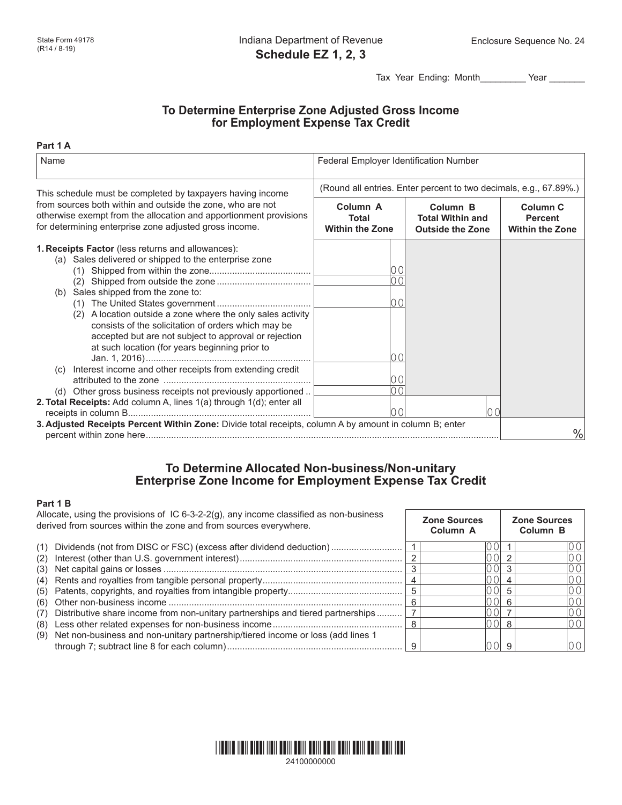Tax Year Ending: Month\_\_\_\_\_\_\_\_\_ Year \_\_\_\_\_\_\_

**Zone Sources**

**Zone Sources**

# **To Determine Enterprise Zone Adjusted Gross Income for Employment Expense Tax Credit**

#### **Part 1 A**

| Name                                                                                                                                                                                                                                                                                                                                                                                                                                                                                                                                                                                             | Federal Employer Identification Number                            |                                                                           |                                                                 |  |  |  |
|--------------------------------------------------------------------------------------------------------------------------------------------------------------------------------------------------------------------------------------------------------------------------------------------------------------------------------------------------------------------------------------------------------------------------------------------------------------------------------------------------------------------------------------------------------------------------------------------------|-------------------------------------------------------------------|---------------------------------------------------------------------------|-----------------------------------------------------------------|--|--|--|
| This schedule must be completed by taxpayers having income                                                                                                                                                                                                                                                                                                                                                                                                                                                                                                                                       | (Round all entries. Enter percent to two decimals, e.g., 67.89%.) |                                                                           |                                                                 |  |  |  |
| from sources both within and outside the zone, who are not<br>otherwise exempt from the allocation and apportionment provisions<br>for determining enterprise zone adjusted gross income.                                                                                                                                                                                                                                                                                                                                                                                                        | Column <sub>A</sub><br>Total<br><b>Within the Zone</b>            | Column <sub>B</sub><br><b>Total Within and</b><br><b>Outside the Zone</b> | Column <sub>C</sub><br><b>Percent</b><br><b>Within the Zone</b> |  |  |  |
| 1. Receipts Factor (less returns and allowances):<br>(a) Sales delivered or shipped to the enterprise zone<br>(1)<br>(b) Sales shipped from the zone to:<br>(2) A location outside a zone where the only sales activity<br>consists of the solicitation of orders which may be<br>accepted but are not subject to approval or rejection<br>at such location (for years beginning prior to<br>(c) Interest income and other receipts from extending credit<br>(d) Other gross business receipts not previously apportioned<br>2. Total Receipts: Add column A, lines 1(a) through 1(d); enter all | 0 <sub>0</sub><br>00<br>00<br>00                                  |                                                                           |                                                                 |  |  |  |
| 100<br>[00]<br>3. Adjusted Receipts Percent Within Zone: Divide total receipts, column A by amount in column B; enter                                                                                                                                                                                                                                                                                                                                                                                                                                                                            |                                                                   |                                                                           | $\frac{0}{0}$                                                   |  |  |  |

# **To Determine Allocated Non-business/Non-unitary Enterprise Zone Income for Employment Expense Tax Credit**

### **Part 1 B**

Allocate, using the provisions of IC 6-3-2-2(g), any income classified as non-business derived from sources within the zone and from sources everywhere.

|     | abilit ou il obditoo within the zone and noni obditoo over willold.             | $COl$ umn $\Delta$ | Column <sub>R</sub> |
|-----|---------------------------------------------------------------------------------|--------------------|---------------------|
| (1) | Dividends (not from DISC or FSC) (excess after dividend deduction)              | ΩOΙ                | 00 <sup>1</sup>     |
| (2) |                                                                                 |                    | 10 O I              |
|     |                                                                                 |                    | 001                 |
| (4) |                                                                                 |                    | 00                  |
|     |                                                                                 | 0 O I              | 001                 |
|     |                                                                                 | 0 OI               | 001                 |
| (7) | Distributive share income from non-unitary partnerships and tiered partnerships |                    | 00                  |
| (8) |                                                                                 |                    | 001                 |
| (9) | Net non-business and non-unitary partnership/tiered income or loss (add lines 1 |                    |                     |

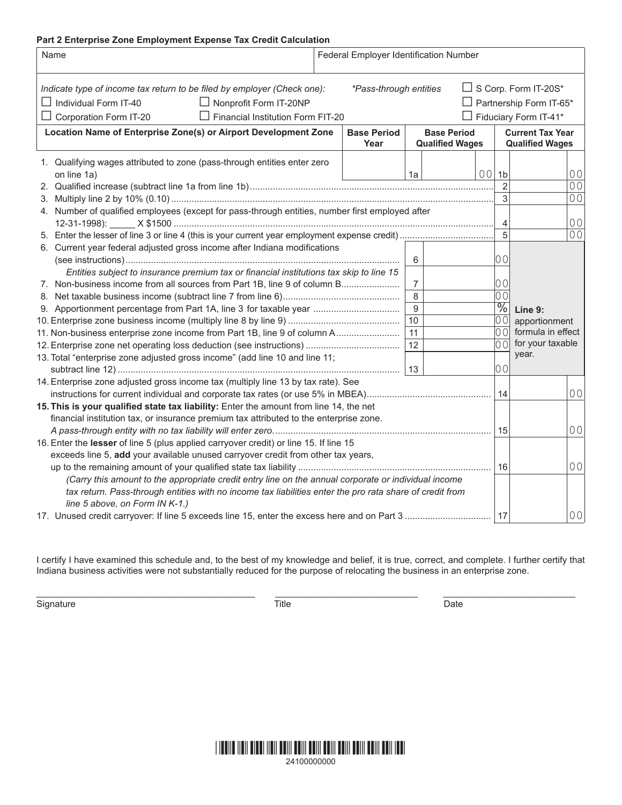### **Part 2 Enterprise Zone Employment Expense Tax Credit Calculation**

| Name                                                                                                                                                                                                                                                                                                                                                                                                                                                                             |  | Federal Employer Identification Number |                                                   |                |                                                                            |                                                                                              |
|----------------------------------------------------------------------------------------------------------------------------------------------------------------------------------------------------------------------------------------------------------------------------------------------------------------------------------------------------------------------------------------------------------------------------------------------------------------------------------|--|----------------------------------------|---------------------------------------------------|----------------|----------------------------------------------------------------------------|----------------------------------------------------------------------------------------------|
| $\Box$ S Corp. Form IT-20S*<br>*Pass-through entities<br>Indicate type of income tax return to be filed by employer (Check one):<br>$\Box$ Individual Form IT-40<br>Partnership Form IT-65*<br>Nonprofit Form IT-20NP<br>$\Box$ Financial Institution Form FIT-20<br>Fiduciary Form IT-41*<br>Corporation Form IT-20                                                                                                                                                             |  |                                        |                                                   |                |                                                                            |                                                                                              |
| Location Name of Enterprise Zone(s) or Airport Development Zone<br><b>Base Period</b><br><b>Base Period</b><br>Year<br><b>Qualified Wages</b>                                                                                                                                                                                                                                                                                                                                    |  |                                        | <b>Current Tax Year</b><br><b>Qualified Wages</b> |                |                                                                            |                                                                                              |
| 1. Qualifying wages attributed to zone (pass-through entities enter zero<br>on line 1a)                                                                                                                                                                                                                                                                                                                                                                                          |  |                                        | 1a                                                |                | $001$ 1b<br>$\overline{2}$<br>3                                            | 0 <sub>0</sub><br>0 <sub>0</sub><br>0 <sub>0</sub>                                           |
| 4. Number of qualified employees (except for pass-through entities, number first employed after                                                                                                                                                                                                                                                                                                                                                                                  |  |                                        | 4                                                 | 0 <sub>0</sub> |                                                                            |                                                                                              |
| 6. Current year federal adjusted gross income after Indiana modifications<br>Entities subject to insurance premium tax or financial institutions tax skip to line 15<br>7. Non-business income from all sources from Part 1B, line 9 of column B<br>9. Apportionment percentage from Part 1A, line 3 for taxable year<br>11. Non-business enterprise zone income from Part 1B, line 9 of column A<br>13. Total "enterprise zone adjusted gross income" (add line 10 and line 11; |  |                                        | 6<br>7<br>8<br>9<br>10<br>11<br>12<br>13          |                | 5<br>00<br>00<br>$\overline{00}$<br>$\frac{0}{6}$<br>00<br>00<br>ool<br>00 | 0 <sub>0</sub><br>Line 9:<br>apportionment<br>formula in effect<br>for your taxable<br>year. |
| 14. Enterprise zone adjusted gross income tax (multiply line 13 by tax rate). See                                                                                                                                                                                                                                                                                                                                                                                                |  |                                        | 14                                                | 0 <sub>0</sub> |                                                                            |                                                                                              |
| 15. This is your qualified state tax liability: Enter the amount from line 14, the net<br>financial institution tax, or insurance premium tax attributed to the enterprise zone.                                                                                                                                                                                                                                                                                                 |  |                                        | 15                                                | 0 <sub>0</sub> |                                                                            |                                                                                              |
| 16. Enter the lesser of line 5 (plus applied carryover credit) or line 15. If line 15<br>exceeds line 5, add your available unused carryover credit from other tax years,<br>(Carry this amount to the appropriate credit entry line on the annual corporate or individual income<br>tax return. Pass-through entities with no income tax liabilities enter the pro rata share of credit from                                                                                    |  |                                        | 16                                                | 0 <sub>0</sub> |                                                                            |                                                                                              |
| line 5 above, on Form IN K-1.)                                                                                                                                                                                                                                                                                                                                                                                                                                                   |  |                                        |                                                   |                | 17                                                                         | 0 <sub>0</sub>                                                                               |

I certify I have examined this schedule and, to the best of my knowledge and belief, it is true, correct, and complete. I further certify that Indiana business activities were not substantially reduced for the purpose of relocating the business in an enterprise zone.

Signature Date Date of the Signature Date of the Date of the Date of the Date of the Date of the Date of the D

\_\_\_\_\_\_\_\_\_\_\_\_\_\_\_\_\_\_\_\_\_\_\_\_\_\_\_\_\_\_\_\_\_\_\_\_\_\_\_\_\_\_\_ \_\_\_\_\_\_\_\_\_\_\_\_\_\_\_\_\_\_\_\_\_\_\_\_\_\_\_\_ \_\_\_\_\_\_\_\_\_\_\_\_\_\_\_\_\_\_\_\_\_\_\_\_\_\_

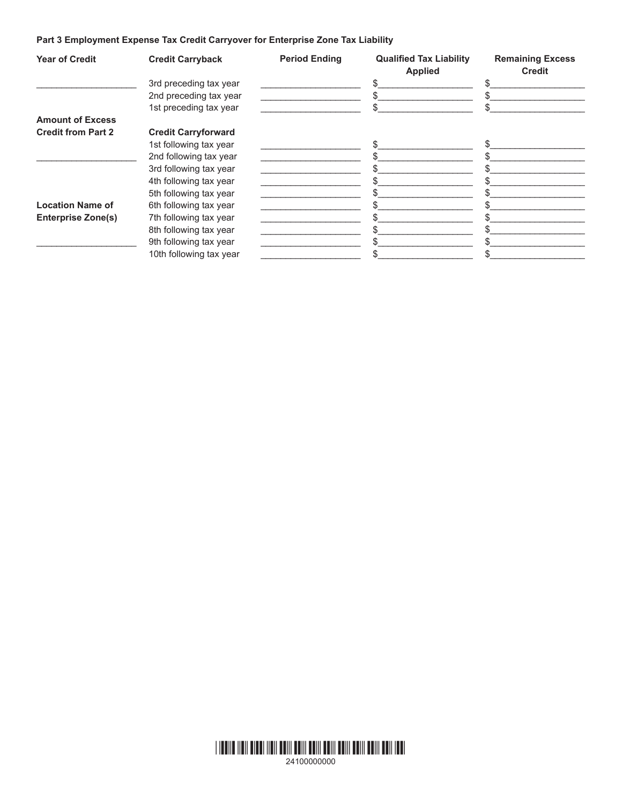# **Part 3 Employment Expense Tax Credit Carryover for Enterprise Zone Tax Liability**

| <b>Year of Credit</b>     | <b>Credit Carryback</b>    | <b>Period Ending</b> | <b>Qualified Tax Liability</b><br><b>Applied</b> | <b>Remaining Excess</b><br><b>Credit</b> |
|---------------------------|----------------------------|----------------------|--------------------------------------------------|------------------------------------------|
|                           | 3rd preceding tax year     |                      |                                                  |                                          |
|                           | 2nd preceding tax year     |                      |                                                  |                                          |
|                           | 1st preceding tax year     |                      |                                                  |                                          |
| <b>Amount of Excess</b>   |                            |                      |                                                  |                                          |
| <b>Credit from Part 2</b> | <b>Credit Carryforward</b> |                      |                                                  |                                          |
|                           | 1st following tax year     |                      | \$.                                              |                                          |
|                           | 2nd following tax year     |                      |                                                  |                                          |
|                           | 3rd following tax year     |                      |                                                  |                                          |
|                           | 4th following tax year     |                      |                                                  |                                          |
|                           | 5th following tax year     |                      |                                                  |                                          |
| <b>Location Name of</b>   | 6th following tax year     |                      |                                                  |                                          |
| <b>Enterprise Zone(s)</b> | 7th following tax year     |                      |                                                  |                                          |
|                           | 8th following tax year     |                      |                                                  |                                          |
|                           | 9th following tax year     |                      |                                                  |                                          |
|                           | 10th following tax year    |                      |                                                  |                                          |

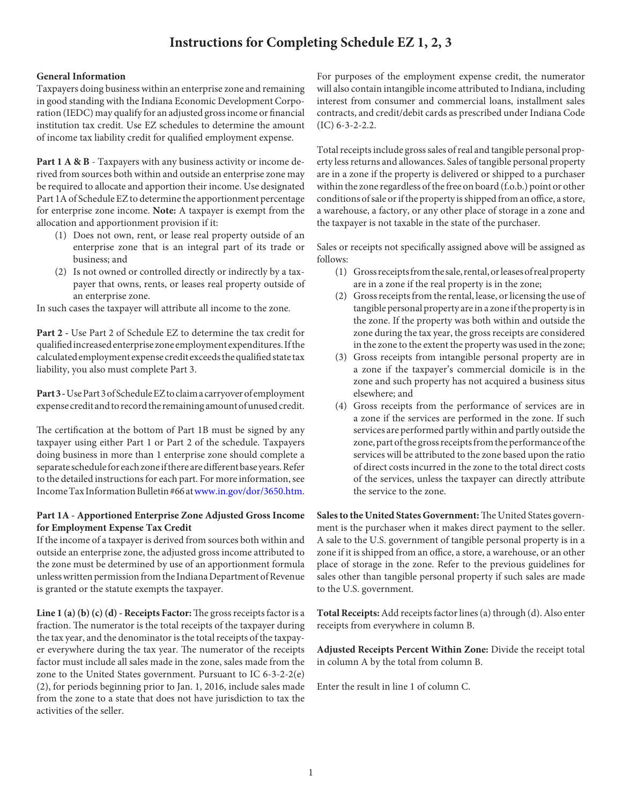# **Instructions for Completing Schedule EZ 1, 2, 3**

### **General Information**

Taxpayers doing business within an enterprise zone and remaining in good standing with the Indiana Economic Development Corporation (IEDC) may qualify for an adjusted gross income or financial institution tax credit. Use EZ schedules to determine the amount of income tax liability credit for qualified employment expense.

Part 1 A & B - Taxpayers with any business activity or income derived from sources both within and outside an enterprise zone may be required to allocate and apportion their income. Use designated Part 1A of Schedule EZ to determine the apportionment percentage for enterprise zone income. **Note:** A taxpayer is exempt from the allocation and apportionment provision if it:

- (1) Does not own, rent, or lease real property outside of an enterprise zone that is an integral part of its trade or business; and
- (2) Is not owned or controlled directly or indirectly by a taxpayer that owns, rents, or leases real property outside of an enterprise zone.

In such cases the taxpayer will attribute all income to the zone.

**Part 2 -** Use Part 2 of Schedule EZ to determine the tax credit for qualified increased enterprise zone employment expenditures. If the calculated employment expense credit exceeds the qualified state tax liability, you also must complete Part 3.

**Part 3 -** Use Part 3 of Schedule EZ to claim a carryover of employment expense credit and to record the remaining amount of unused credit.

The certification at the bottom of Part 1B must be signed by any taxpayer using either Part 1 or Part 2 of the schedule. Taxpayers doing business in more than 1 enterprise zone should complete a separate schedule for each zone if there are different base years. Refer to the detailed instructions for each part. For more information, see Income Tax Information Bulletin #66 at www.in.gov/dor/3650.htm.

### **Part 1A - Apportioned Enterprise Zone Adjusted Gross Income for Employment Expense Tax Credit**

If the income of a taxpayer is derived from sources both within and outside an enterprise zone, the adjusted gross income attributed to the zone must be determined by use of an apportionment formula unless written permission from the Indiana Department of Revenue is granted or the statute exempts the taxpayer.

**Line 1 (a) (b) (c) (d) - Receipts Factor:** The gross receipts factor is a fraction. The numerator is the total receipts of the taxpayer during the tax year, and the denominator is the total receipts of the taxpayer everywhere during the tax year. The numerator of the receipts factor must include all sales made in the zone, sales made from the zone to the United States government. Pursuant to IC 6-3-2-2(e) (2), for periods beginning prior to Jan. 1, 2016, include sales made from the zone to a state that does not have jurisdiction to tax the activities of the seller.

For purposes of the employment expense credit, the numerator will also contain intangible income attributed to Indiana, including interest from consumer and commercial loans, installment sales contracts, and credit/debit cards as prescribed under Indiana Code (IC) 6-3-2-2.2.

Total receipts include gross sales of real and tangible personal property less returns and allowances. Sales of tangible personal property are in a zone if the property is delivered or shipped to a purchaser within the zone regardless of the free on board (f.o.b.) point or other conditions of sale or if the property is shipped from an office, a store, a warehouse, a factory, or any other place of storage in a zone and the taxpayer is not taxable in the state of the purchaser.

Sales or receipts not specifically assigned above will be assigned as follows:

- (1) Gross receipts from the sale, rental, or leases of real property are in a zone if the real property is in the zone;
- (2) Gross receipts from the rental, lease, or licensing the use of tangible personal property are in a zone if the property is in the zone. If the property was both within and outside the zone during the tax year, the gross receipts are considered in the zone to the extent the property was used in the zone;
- (3) Gross receipts from intangible personal property are in a zone if the taxpayer's commercial domicile is in the zone and such property has not acquired a business situs elsewhere; and
- (4) Gross receipts from the performance of services are in a zone if the services are performed in the zone. If such services are performed partly within and partly outside the zone, part of the gross receipts from the performance of the services will be attributed to the zone based upon the ratio of direct costs incurred in the zone to the total direct costs of the services, unless the taxpayer can directly attribute the service to the zone.

**Sales to the United States Government:** The United States government is the purchaser when it makes direct payment to the seller. A sale to the U.S. government of tangible personal property is in a zone if it is shipped from an office, a store, a warehouse, or an other place of storage in the zone. Refer to the previous guidelines for sales other than tangible personal property if such sales are made to the U.S. government.

**Total Receipts:** Add receipts factor lines (a) through (d). Also enter receipts from everywhere in column B.

**Adjusted Receipts Percent Within Zone:** Divide the receipt total in column A by the total from column B.

Enter the result in line 1 of column C.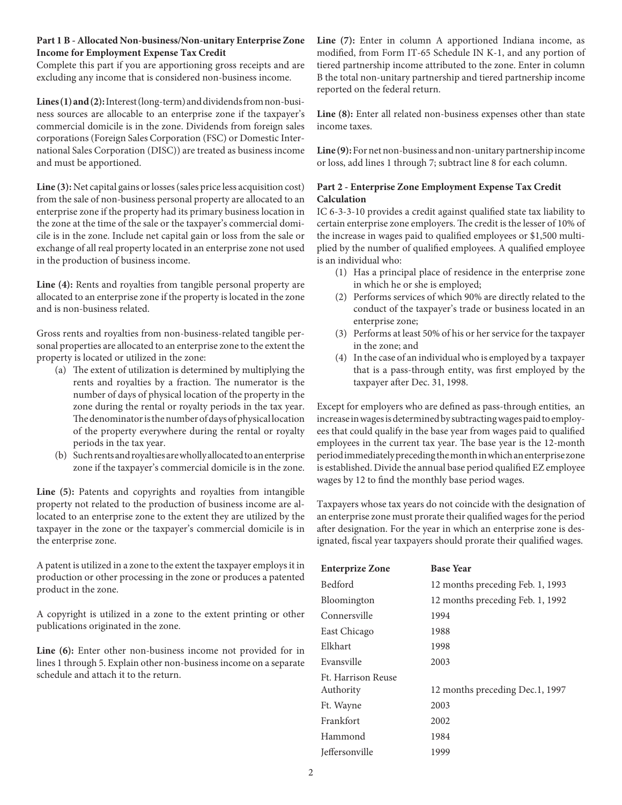## **Part 1 B - Allocated Non-business/Non-unitary Enterprise Zone Income for Employment Expense Tax Credit**

Complete this part if you are apportioning gross receipts and are excluding any income that is considered non-business income.

**Lines (1) and (2):** Interest (long-term) and dividends from non-business sources are allocable to an enterprise zone if the taxpayer's commercial domicile is in the zone. Dividends from foreign sales corporations (Foreign Sales Corporation (FSC) or Domestic International Sales Corporation (DISC)) are treated as business income and must be apportioned.

**Line (3):** Net capital gains or losses (sales price less acquisition cost) from the sale of non-business personal property are allocated to an enterprise zone if the property had its primary business location in the zone at the time of the sale or the taxpayer's commercial domicile is in the zone. Include net capital gain or loss from the sale or exchange of all real property located in an enterprise zone not used in the production of business income.

**Line (4):** Rents and royalties from tangible personal property are allocated to an enterprise zone if the property is located in the zone and is non-business related.

Gross rents and royalties from non-business-related tangible personal properties are allocated to an enterprise zone to the extent the property is located or utilized in the zone:

- (a) The extent of utilization is determined by multiplying the rents and royalties by a fraction. The numerator is the number of days of physical location of the property in the zone during the rental or royalty periods in the tax year. The denominator is the number of days of physical location of the property everywhere during the rental or royalty periods in the tax year.
- (b) Such rents and royalties are wholly allocated to an enterprise zone if the taxpayer's commercial domicile is in the zone.

**Line (5):** Patents and copyrights and royalties from intangible property not related to the production of business income are allocated to an enterprise zone to the extent they are utilized by the taxpayer in the zone or the taxpayer's commercial domicile is in the enterprise zone.

A patent is utilized in a zone to the extent the taxpayer employs it in production or other processing in the zone or produces a patented product in the zone.

A copyright is utilized in a zone to the extent printing or other publications originated in the zone.

**Line (6):** Enter other non-business income not provided for in lines 1 through 5. Explain other non-business income on a separate schedule and attach it to the return.

**Line (7):** Enter in column A apportioned Indiana income, as modified, from Form IT-65 Schedule IN K-1, and any portion of tiered partnership income attributed to the zone. Enter in column B the total non-unitary partnership and tiered partnership income reported on the federal return.

**Line (8):** Enter all related non-business expenses other than state income taxes.

**Line (9):** For net non-business and non-unitary partnership income or loss, add lines 1 through 7; subtract line 8 for each column.

# **Part 2 - Enterprise Zone Employment Expense Tax Credit Calculation**

IC 6-3-3-10 provides a credit against qualified state tax liability to certain enterprise zone employers. The credit is the lesser of 10% of the increase in wages paid to qualified employees or \$1,500 multiplied by the number of qualified employees. A qualified employee is an individual who:

- (1) Has a principal place of residence in the enterprise zone in which he or she is employed;
- (2) Performs services of which 90% are directly related to the conduct of the taxpayer's trade or business located in an enterprise zone;
- (3) Performs at least 50% of his or her service for the taxpayer in the zone; and
- (4) In the case of an individual who is employed by a taxpayer that is a pass-through entity, was first employed by the taxpayer after Dec. 31, 1998.

Except for employers who are defined as pass-through entities, an increase in wages is determined by subtracting wages paid to employees that could qualify in the base year from wages paid to qualified employees in the current tax year. The base year is the 12-month period immediately preceding the month in which an enterprise zone is established. Divide the annual base period qualified EZ employee wages by 12 to find the monthly base period wages.

Taxpayers whose tax years do not coincide with the designation of an enterprise zone must prorate their qualified wages for the period after designation. For the year in which an enterprise zone is designated, fiscal year taxpayers should prorate their qualified wages.

| <b>Enterprize Zone</b>          | <b>Base Year</b>                 |
|---------------------------------|----------------------------------|
| <b>Bedford</b>                  | 12 months preceding Feb. 1, 1993 |
| Bloomington                     | 12 months preceding Feb. 1, 1992 |
| Connersville                    | 1994                             |
| East Chicago                    | 1988                             |
| Elkhart                         | 1998                             |
| Evansville                      | 2003                             |
| Ft. Harrison Reuse<br>Authority | 12 months preceding Dec.1, 1997  |
| Ft. Wayne                       | 2003                             |
| Frankfort                       | 2002                             |
| Hammond                         | 1984                             |
| <b>Jeffersonville</b>           | 1999                             |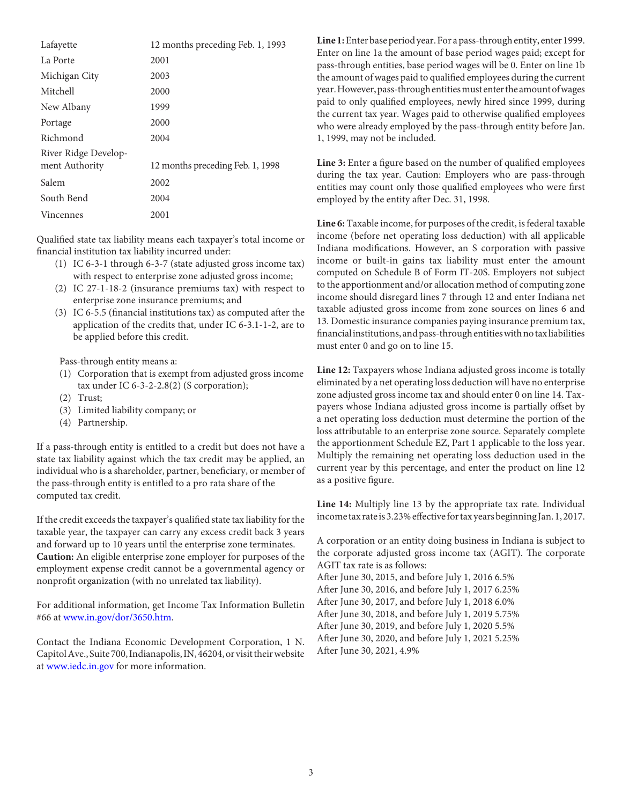| Lafayette            | 12 months preceding Feb. 1, 1993 |
|----------------------|----------------------------------|
| La Porte             | 2001                             |
| Michigan City        | 2003                             |
| Mitchell             | 2000                             |
| New Albany           | 1999                             |
| Portage              | 2000                             |
| Richmond             | 2004                             |
| River Ridge Develop- |                                  |
| ment Authority       | 12 months preceding Feb. 1, 1998 |
| Salem                | 2002                             |
| South Bend           | 2004                             |
| Vincennes            | 2001                             |

Qualified state tax liability means each taxpayer's total income or financial institution tax liability incurred under:

- (1) IC 6-3-1 through 6-3-7 (state adjusted gross income tax) with respect to enterprise zone adjusted gross income;
- (2) IC 27-1-18-2 (insurance premiums tax) with respect to enterprise zone insurance premiums; and
- (3) IC 6-5.5 (financial institutions tax) as computed after the application of the credits that, under IC 6-3.1-1-2, are to be applied before this credit.

Pass-through entity means a:

- (1) Corporation that is exempt from adjusted gross income tax under IC 6-3-2-2.8(2) (S corporation);
- (2) Trust;
- (3) Limited liability company; or
- (4) Partnership.

If a pass-through entity is entitled to a credit but does not have a state tax liability against which the tax credit may be applied, an individual who is a shareholder, partner, beneficiary, or member of the pass-through entity is entitled to a pro rata share of the computed tax credit.

If the credit exceeds the taxpayer's qualified state tax liability for the taxable year, the taxpayer can carry any excess credit back 3 years and forward up to 10 years until the enterprise zone terminates. **Caution:** An eligible enterprise zone employer for purposes of the employment expense credit cannot be a governmental agency or nonprofit organization (with no unrelated tax liability).

For additional information, get Income Tax Information Bulletin #66 at www.in.gov/dor/3650.htm.

Contact the Indiana Economic Development Corporation, 1 N. Capitol Ave., Suite 700, Indianapolis, IN, 46204, or visit their website at www.iedc.in.gov for more information.

**Line 1:** Enter base period year. For a pass-through entity, enter 1999. Enter on line 1a the amount of base period wages paid; except for pass-through entities, base period wages will be 0. Enter on line 1b the amount of wages paid to qualified employees during the current year. However, pass-through entities must enter the amount of wages paid to only qualified employees, newly hired since 1999, during the current tax year. Wages paid to otherwise qualified employees who were already employed by the pass-through entity before Jan. 1, 1999, may not be included.

**Line 3:** Enter a figure based on the number of qualified employees during the tax year. Caution: Employers who are pass-through entities may count only those qualified employees who were first employed by the entity after Dec. 31, 1998.

**Line 6:** Taxable income, for purposes of the credit, is federal taxable income (before net operating loss deduction) with all applicable Indiana modifications. However, an S corporation with passive income or built-in gains tax liability must enter the amount computed on Schedule B of Form IT-20S. Employers not subject to the apportionment and/or allocation method of computing zone income should disregard lines 7 through 12 and enter Indiana net taxable adjusted gross income from zone sources on lines 6 and 13. Domestic insurance companies paying insurance premium tax, financial institutions, and pass-through entities with no tax liabilities must enter 0 and go on to line 15.

**Line 12:** Taxpayers whose Indiana adjusted gross income is totally eliminated by a net operating loss deduction will have no enterprise zone adjusted gross income tax and should enter 0 on line 14. Taxpayers whose Indiana adjusted gross income is partially offset by a net operating loss deduction must determine the portion of the loss attributable to an enterprise zone source. Separately complete the apportionment Schedule EZ, Part 1 applicable to the loss year. Multiply the remaining net operating loss deduction used in the current year by this percentage, and enter the product on line 12 as a positive figure.

**Line 14:** Multiply line 13 by the appropriate tax rate. Individual income tax rate is 3.23% effective for tax years beginning Jan. 1, 2017.

A corporation or an entity doing business in Indiana is subject to the corporate adjusted gross income tax (AGIT). The corporate AGIT tax rate is as follows:

After June 30, 2015, and before July 1, 2016 6.5%

- After June 30, 2016, and before July 1, 2017 6.25%
- After June 30, 2017, and before July 1, 2018 6.0%

After June 30, 2018, and before July 1, 2019 5.75%

After June 30, 2019, and before July 1, 2020 5.5%

After June 30, 2020, and before July 1, 2021 5.25%

After June 30, 2021, 4.9%